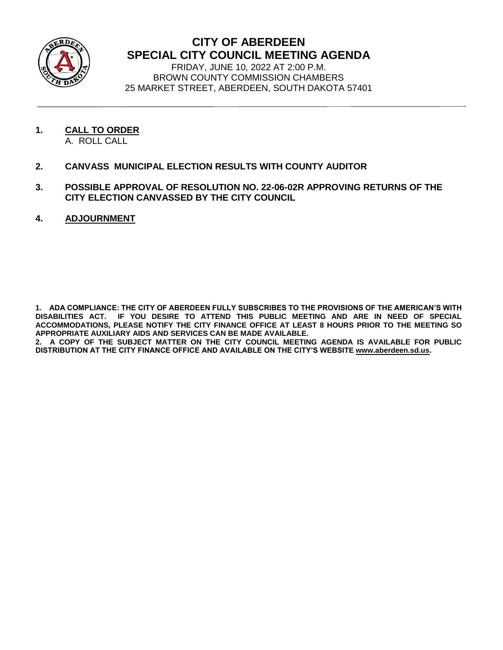

## **CITY OF ABERDEEN SPECIAL CITY COUNCIL MEETING AGENDA**

FRIDAY, JUNE 10, 2022 AT 2:00 P.M. BROWN COUNTY COMMISSION CHAMBERS 25 MARKET STREET, ABERDEEN, SOUTH DAKOTA 57401

- **1. CALL TO ORDER**
	- A. ROLL CALL
- **2. CANVASS MUNICIPAL ELECTION RESULTS WITH COUNTY AUDITOR**
- **3. POSSIBLE APPROVAL OF RESOLUTION NO. 22-06-02R APPROVING RETURNS OF THE CITY ELECTION CANVASSED BY THE CITY COUNCIL**
- **4. ADJOURNMENT**

**1. ADA COMPLIANCE: THE CITY OF ABERDEEN FULLY SUBSCRIBES TO THE PROVISIONS OF THE AMERICAN'S WITH DISABILITIES ACT. IF YOU DESIRE TO ATTEND THIS PUBLIC MEETING AND ARE IN NEED OF SPECIAL ACCOMMODATIONS, PLEASE NOTIFY THE CITY FINANCE OFFICE AT LEAST 8 HOURS PRIOR TO THE MEETING SO APPROPRIATE AUXILIARY AIDS AND SERVICES CAN BE MADE AVAILABLE.** 

**2. A COPY OF THE SUBJECT MATTER ON THE CITY COUNCIL MEETING AGENDA IS AVAILABLE FOR PUBLIC DISTRIBUTION AT THE CITY FINANCE OFFICE AND AVAILABLE ON THE CITY'S WEBSITE [www.aberdeen.sd.us.](http://www.aberdeen.sd.us/)**